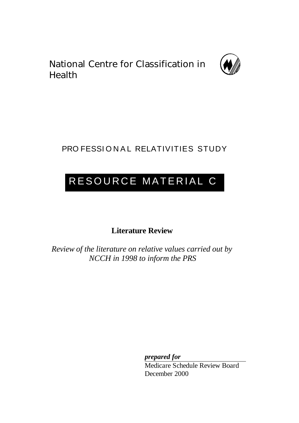National Centre for Classification in Health



# PRO FESSIONAL RELATIVITIES STUDY

# RESOURCE MATERIAL C

**Literature Review**

*Review of the literature on relative values carried out by NCCH in 1998 to inform the PRS*

*prepared for*

Medicare Schedule Review Board December 2000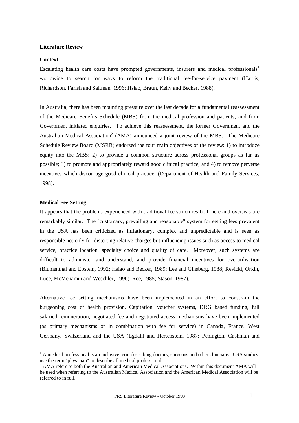# **Literature Review**

# **Context**

Escalating health care costs have prompted governments, insurers and medical professionals<sup>1</sup> worldwide to search for ways to reform the traditional fee-for-service payment (Harris, Richardson, Farish and Saltman, 1996; Hsiao, Braun, Kelly and Becker, 1988).

In Australia, there has been mounting pressure over the last decade for a fundamental reassessment of the Medicare Benefits Schedule (MBS) from the medical profession and patients, and from Government initiated enquiries. To achieve this reassessment, the former Government and the Australian Medical Association<sup>2</sup> (AMA) announced a joint review of the MBS. The Medicare Schedule Review Board (MSRB) endorsed the four main objectives of the review: 1) to introduce equity into the MBS; 2) to provide a common structure across professional groups as far as possible; 3) to promote and appropriately reward good clinical practice; and 4) to remove perverse incentives which discourage good clinical practice. (Department of Health and Family Services, 1998).

# **Medical Fee Setting**

l

It appears that the problems experienced with traditional fee structures both here and overseas are remarkably similar. The "customary, prevailing and reasonable" system for setting fees prevalent in the USA has been criticized as inflationary, complex and unpredictable and is seen as responsible not only for distorting relative charges but influencing issues such as access to medical service, practice location, specialty choice and quality of care. Moreover, such systems are difficult to administer and understand, and provide financial incentives for overutilisation (Blumenthal and Epstein, 1992; Hsiao and Becker, 1989; Lee and Ginsberg, 1988; Revicki, Orkin, Luce, McMenamin and Weschler, 1990; Roe, 1985; Stason, 1987).

Alternative fee setting mechanisms have been implemented in an effort to constrain the burgeoning cost of health provision. Capitation, voucher systems, DRG based funding, full salaried remuneration, negotiated fee and negotiated access mechanisms have been implemented (as primary mechanisms or in combination with fee for service) in Canada, France, West Germany, Switzerland and the USA (Egdahl and Hertenstein, 1987; Penington, Cashman and

 $<sup>1</sup>$  A medical professional is an inclusive term describing doctors, surgeons and other clinicians. USA studies</sup> use the term "physician" to describe all medical professional.

<sup>&</sup>lt;sup>2</sup> AMA refers to both the Australian and American Medical Associations. Within this document AMA will be used when referring to the Australian Medical Association and the American Medical Association will be referred to in full.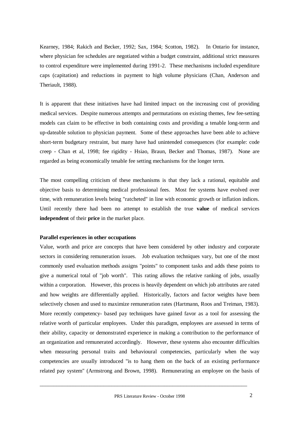Kearney, 1984; Rakich and Becker, 1992; Sax, 1984; Scotton, 1982). In Ontario for instance, where physician fee schedules are negotiated within a budget constraint, additional strict measures to control expenditure were implemented during 1991-2. These mechanisms included expenditure caps (capitation) and reductions in payment to high volume physicians (Chan, Anderson and Theriault, 1988).

It is apparent that these initiatives have had limited impact on the increasing cost of providing medical services. Despite numerous attempts and permutations on existing themes, few fee-setting models can claim to be effective in both containing costs and providing a tenable long-term and up-dateable solution to physician payment. Some of these approaches have been able to achieve short-term budgetary restraint, but many have had unintended consequences (for example: code creep - Chan et al, 1998; fee rigidity - Hsiao, Braun, Becker and Thomas, 1987). None are regarded as being economically tenable fee setting mechanisms for the longer term.

The most compelling criticism of these mechanisms is that they lack a rational, equitable and objective basis to determining medical professional fees. Most fee systems have evolved over time, with remuneration levels being "ratcheted" in line with economic growth or inflation indices. Until recently there had been no attempt to establish the true **value** of medical services **independent** of their **price** in the market place.

#### **Parallel experiences in other occupations**

Value, worth and price are concepts that have been considered by other industry and corporate sectors in considering remuneration issues. Job evaluation techniques vary, but one of the most commonly used evaluation methods assigns "points" to component tasks and adds these points to give a numerical total of "job worth". This rating allows the relative ranking of jobs, usually within a corporation. However, this process is heavily dependent on which job attributes are rated and how weights are differentially applied. Historically, factors and factor weights have been selectively chosen and used to maximize remuneration rates (Hartmann, Roos and Treiman, 1983). More recently competency- based pay techniques have gained favor as a tool for assessing the relative worth of particular employees. Under this paradigm, employees are assessed in terms of their ability, capacity or demonstrated experience in making a contribution to the performance of an organization and remunerated accordingly. However, these systems also encounter difficulties when measuring personal traits and behavioural competencies, particularly when the way competencies are usually introduced "is to hang them on the back of an existing performance related pay system" (Armstrong and Brown, 1998). Remunerating an employee on the basis of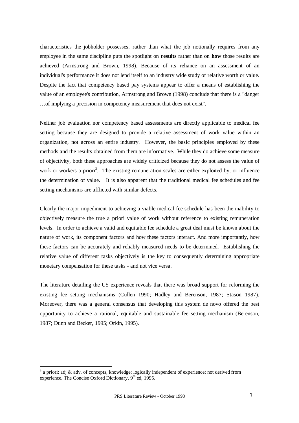characteristics the jobholder possesses, rather than what the job notionally requires from any employee in the same discipline puts the spotlight on **results** rather than on **how** those results are achieved (Armstrong and Brown, 1998). Because of its reliance on an assessment of an individual's performance it does not lend itself to an industry wide study of relative worth or value. Despite the fact that competency based pay systems appear to offer a means of establishing the value of an employee's contribution, Armstrong and Brown (1998) conclude that there is a "danger … of implying a precision in competency measurement that does not exist".

Neither job evaluation nor competency based assessments are directly applicable to medical fee setting because they are designed to provide a relative assessment of work value within an organization, not across an entire industry. However, the basic principles employed by these methods and the results obtained from them are informative. While they do achieve some measure of objectivity, both these approaches are widely criticized because they do not assess the value of work or workers a priori<sup>3</sup>. The existing remuneration scales are either exploited by, or influence the determination of value. It is also apparent that the traditional medical fee schedules and fee setting mechanisms are afflicted with similar defects.

Clearly the major impediment to achieving a viable medical fee schedule has been the inability to objectively measure the true a priori value of work without reference to existing remuneration levels. In order to achieve a valid and equitable fee schedule a great deal must be known about the nature of work, its component factors and how these factors interact. And more importantly, how these factors can be accurately and reliably measured needs to be determined. Establishing the relative value of different tasks objectively is the key to consequently determining appropriate monetary compensation for these tasks - and not vice versa.

The literature detailing the US experience reveals that there was broad support for reforming the existing fee setting mechanisms (Cullen 1990; Hadley and Berenson, 1987; Stason 1987). Moreover, there was a general consensus that developing this system de novo offered the best opportunity to achieve a rational, equitable and sustainable fee setting mechanism (Berenson, 1987; Dunn and Becker, 1995; Orkin, 1995).

 $\overline{a}$ 

 $3$  a priori: adj & adv. of concepts, knowledge; logically independent of experience; not derived from experience. The Concise Oxford Dictionary,  $9<sup>th</sup>$  ed, 1995.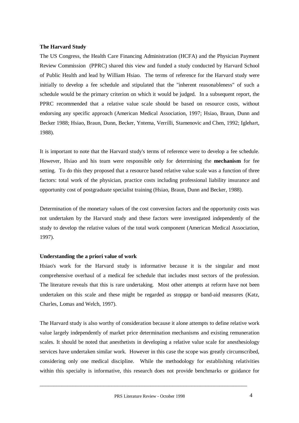# **The Harvard Study**

The US Congress, the Health Care Financing Administration (HCFA) and the Physician Payment Review Commission (PPRC) shared this view and funded a study conducted by Harvard School of Public Health and lead by William Hsiao. The terms of reference for the Harvard study were initially to develop a fee schedule and stipulated that the "inherent reasonableness" of such a schedule would be the primary criterion on which it would be judged. In a subsequent report, the PPRC recommended that a relative value scale should be based on resource costs, without endorsing any specific approach (American Medical Association, 1997; Hsiao, Braun, Dunn and Becker 1988; Hsiao, Braun, Dunn, Becker, Yntema, Verrilli, Stamenovic and Chen, 1992; Iglehart, 1988).

It is important to note that the Harvard study's terms of reference were to develop a fee schedule. However, Hsiao and his team were responsible only for determining the **mechanism** for fee setting. To do this they proposed that a resource based relative value scale was a function of three factors: total work of the physician, practice costs including professional liability insurance and opportunity cost of postgraduate specialist training (Hsiao, Braun, Dunn and Becker, 1988).

Determination of the monetary values of the cost conversion factors and the opportunity costs was not undertaken by the Harvard study and these factors were investigated independently of the study to develop the relative values of the total work component (American Medical Association, 1997).

#### **Understanding the a priori value of work**

Hsiao's work for the Harvard study is informative because it is the singular and most comprehensive overhaul of a medical fee schedule that includes most sectors of the profession. The literature reveals that this is rare undertaking. Most other attempts at reform have not been undertaken on this scale and these might be regarded as stopgap or band-aid measures (Katz, Charles, Lomas and Welch, 1997).

The Harvard study is also worthy of consideration because it alone attempts to define relative work value largely independently of market price determination mechanisms and existing remuneration scales. It should be noted that anesthetists in developing a relative value scale for anesthesiology services have undertaken similar work. However in this case the scope was greatly circumscribed, considering only one medical discipline. While the methodology for establishing relativities within this specialty is informative, this research does not provide benchmarks or guidance for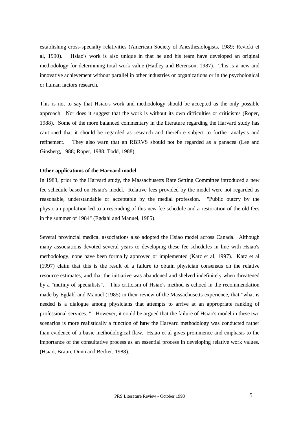establishing cross-specialty relativities (American Society of Anesthesiologists, 1989; Revicki et al, 1990). Hsiao's work is also unique in that he and his team have developed an original methodology for determining total work value (Hadley and Berenson, 1987). This is a new and innovative achievement without parallel in other industries or organizations or in the psychological or human factors research.

This is not to say that Hsiao's work and methodology should be accepted as the only possible approach. Nor does it suggest that the work is without its own difficulties or criticisms (Roper, 1988). Some of the more balanced commentary in the literature regarding the Harvard study has cautioned that it should be regarded as research and therefore subject to further analysis and refinement. They also warn that an RBRVS should not be regarded as a panacea (Lee and Ginsberg, 1988; Roper, 1988; Todd, 1988).

#### **Other applications of the Harvard model**

In 1983, prior to the Harvard study, the Massachusetts Rate Setting Committee introduced a new fee schedule based on Hsiao's model. Relative fees provided by the model were not regarded as reasonable, understandable or acceptable by the medial profession. "Public outcry by the physician population led to a rescinding of this new fee schedule and a restoration of the old fees in the summer of 1984" (Egdahl and Manuel, 1985).

Several provincial medical associations also adopted the Hsiao model across Canada. Although many associations devoted several years to developing these fee schedules in line with Hsiao's methodology, none have been formally approved or implemented (Katz et al, 1997). Katz et al (1997) claim that this is the result of a failure to obtain physician consensus on the relative resource estimates, and that the initiative was abandoned and shelved indefinitely when threatened by a "mutiny of specialists". This criticism of Hsiao's method is echoed in the recommendation made by Egdahl and Manuel (1985) in their review of the Massachusetts experience, that "what is needed is a dialogue among physicians that attempts to arrive at an appropriate ranking of professional services. " However, it could be argued that the failure of Hsiao's model in these two scenarios is more realistically a function of **how** the Harvard methodology was conducted rather than evidence of a basic methodological flaw. Hsiao et al gives prominence and emphasis to the importance of the consultative process as an essential process in developing relative work values. (Hsiao, Braun, Dunn and Becker, 1988).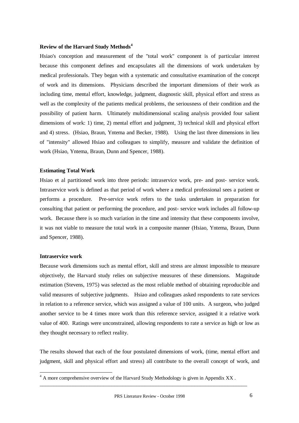# **Review of the Harvard Study Methods<sup>4</sup>**

Hsiao's conception and measurement of the "total work" component is of particular interest because this component defines and encapsulates all the dimensions of work undertaken by medical professionals. They began with a systematic and consultative examination of the concept of work and its dimensions. Physicians described the important dimensions of their work as including time, mental effort, knowledge, judgment, diagnostic skill, physical effort and stress as well as the complexity of the patients medical problems, the seriousness of their condition and the possibility of patient harm. Ultimately multidimensional scaling analysis provided four salient dimensions of work: 1) time, 2) mental effort and judgment, 3) technical skill and physical effort and 4) stress. (Hsiao, Braun, Yntema and Becker, 1988). Using the last three dimensions in lieu of "intensity" allowed Hsiao and colleagues to simplify, measure and validate the definition of work (Hsiao, Yntema, Braun, Dunn and Spencer, 1988).

#### **Estimating Total Work**

Hsiao et al partitioned work into three periods: intraservice work, pre- and post- service work. Intraservice work is defined as that period of work where a medical professional sees a patient or performs a procedure. Pre-service work refers to the tasks undertaken in preparation for consulting that patient or performing the procedure, and post- service work includes all follow-up work. Because there is so much variation in the time and intensity that these components involve, it was not viable to measure the total work in a composite manner (Hsiao, Yntema, Braun, Dunn and Spencer, 1988).

# **Intraservice work**

l

Because work dimensions such as mental effort, skill and stress are almost impossible to measure objectively, the Harvard study relies on subjective measures of these dimensions. Magnitude estimation (Stevens, 1975) was selected as the most reliable method of obtaining reproducible and valid measures of subjective judgments. Hsiao and colleagues asked respondents to rate services in relation to a reference service, which was assigned a value of 100 units. A surgeon, who judged another service to be 4 times more work than this reference service, assigned it a relative work value of 400. Ratings were unconstrained, allowing respondents to rate a service as high or low as they thought necessary to reflect reality.

The results showed that each of the four postulated dimensions of work, (time, mental effort and judgment, skill and physical effort and stress) all contribute to the overall concept of work, and

 $4 \text{ A}$  more comprehensive overview of the Harvard Study Methodology is given in Appendix XX.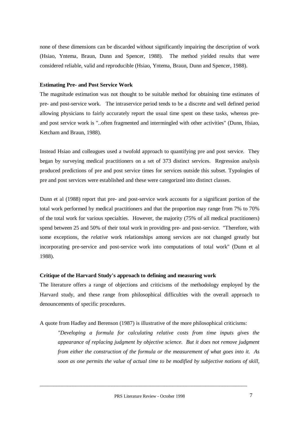none of these dimensions can be discarded without significantly impairing the description of work (Hsiao, Yntema, Braun, Dunn and Spencer, 1988). The method yielded results that were considered reliable, valid and reproducible (Hsiao, Yntema, Braun, Dunn and Spencer, 1988).

# **Estimating Pre- and Post Service Work**

The magnitude estimation was not thought to be suitable method for obtaining time estimates of pre- and post-service work. The intraservice period tends to be a discrete and well defined period allowing physicians to fairly accurately report the usual time spent on these tasks, whereas preand post service work is "..often fragmented and intermingled with other activities" (Dunn, Hsiao, Ketcham and Braun, 1988).

Instead Hsiao and colleagues used a twofold approach to quantifying pre and post service. They began by surveying medical practitioners on a set of 373 distinct services. Regression analysis produced predictions of pre and post service times for services outside this subset. Typologies of pre and post services were established and these were categorized into distinct classes.

Dunn et al (1988) report that pre- and post-service work accounts for a significant portion of the total work performed by medical practitioners and that the proportion may range from 7% to 70% of the total work for various specialties. However, the majority (75% of all medical practitioners) spend between 25 and 50% of their total work in providing pre- and post-service. "Therefore, with some exceptions, the *relative* work relationships among services are not changed greatly but incorporating pre-service and post-service work into computations of total work" (Dunn et al 1988).

#### **Critique of the Harvard Study's approach to defining and measuring work**

The literature offers a range of objections and criticisms of the methodology employed by the Harvard study, and these range from philosophical difficulties with the overall approach to denouncements of specific procedures.

A quote from Hadley and Berenson (1987) is illustrative of the more philosophical criticisms:

*"Developing a formula for calculating relative costs from time inputs gives the appearance of replacing judgment by objective science. But it does not remove judgment from either the construction of the formula or the measurement of what goes into it. As soon as one permits the value of actual time to be modified by subjective notions of skill,*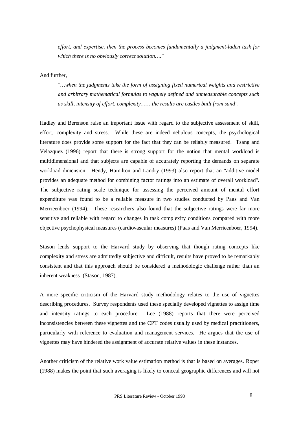*effort, and expertise, then the process becomes fundamentally a judgment-laden task for which there is no obviously correct solution… ."* 

And further,

*"… when the judgments take the form of assigning fixed numerical weights and restrictive and arbitrary mathematical formulas to vaguely defined and unmeasurable concepts such as skill, intensity of effort, complexity…… the results are castles built from sand".*

Hadley and Berenson raise an important issue with regard to the subjective assessment of skill, effort, complexity and stress. While these are indeed nebulous concepts, the psychological literature does provide some support for the fact that they can be reliably measured. Tsang and Velazquez (1996) report that there is strong support for the notion that mental workload is multidimensional and that subjects are capable of accurately reporting the demands on separate workload dimension. Hendy, Hamilton and Landry (1993) also report that an "additive model provides an adequate method for combining factor ratings into an estimate of overall workload". The subjective rating scale technique for assessing the perceived amount of mental effort expenditure was found to be a reliable measure in two studies conducted by Paas and Van Merrieenboer (1994). These researchers also found that the subjective ratings were far more sensitive and reliable with regard to changes in task complexity conditions compared with more objective psychophysical measures (cardiovascular measures) (Paas and Van Merrieenboer, 1994).

Stason lends support to the Harvard study by observing that though rating concepts like complexity and stress are admittedly subjective and difficult, results have proved to be remarkably consistent and that this approach should be considered a methodologic challenge rather than an inherent weakness (Stason, 1987).

A more specific criticism of the Harvard study methodology relates to the use of vignettes describing procedures. Survey respondents used these specially developed vignettes to assign time and intensity ratings to each procedure. Lee (1988) reports that there were perceived inconsistencies between these vignettes and the CPT codes usually used by medical practitioners, particularly with reference to evaluation and management services. He argues that the use of vignettes may have hindered the assignment of accurate relative values in these instances.

Another criticism of the relative work value estimation method is that is based on averages. Roper (1988) makes the point that such averaging is likely to conceal geographic differences and will not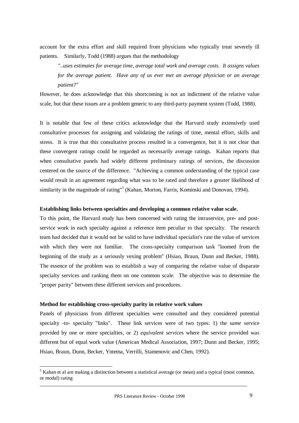account for the extra effort and skill required from physicians who typically treat severely ill patients. Similarly, Todd (1988) argues that the methodology

*"..uses estimates for average time, average total work and average costs. It assigns values for the average patient. Have any of us ever met an average physician or an average patient?"*

However, he does acknowledge that this shortcoming is not an indictment of the relative value scale, but that these issues are a problem generic to any third-party payment system (Todd, 1988).

It is notable that few of these critics acknowledge that the Harvard study extensively used consultative processes for assigning and validating the ratings of time, mental effort, skills and stress. It is true that this consultative process resulted in a convergence, but it is not clear that these convergent ratings could be regarded as necessarily average ratings. Kahan reports that when consultative panels had widely different preliminary ratings of services, the discussion centered on the source of the difference. "Achieving a common understanding of the typical case would result in an agreement regarding what was to be rated and therefore a greater likelihood of similarity in the magnitude of rating"<sup>5</sup> (Kahan, Morton, Farris, Kominski and Donovan, 1994).

#### **Establishing links between specialties and developing a common relative value scale.**

To this point, the Harvard study has been concerned with rating the intraservice, pre- and postservice work in each specialty against a reference item peculiar to that specialty. The research team had decided that it would not be valid to have individual specialist's rate the value of services with which they were not familiar. The cross-specialty comparison task "loomed from the beginning of the study as a seriously vexing problem" (Hsiao, Braun, Dunn and Becker, 1988). The essence of the problem was to establish a way of comparing the relative value of disparate specialty services and ranking them on one common scale. The objective was to determine the "proper parity" between these different services and procedures.

#### **Method for establishing cross-specialty parity in relative work values**

 $\overline{a}$ 

Panels of physicians from different specialties were consulted and they considered potential specialty -to- specialty "links". These link services were of two types: 1) the *same* service provided by one or more specialties, or 2) *equivalent services* where the service provided was different but of equal work value (American Medical Association, 1997; Dunn and Becker, 1995; Hsiao, Braun, Dunn, Becker, Yntema, Verrilli, Stamenovic and Chen, 1992).

 $<sup>5</sup>$  Kahan et al are making a distinction between a statistical average (or mean) and a typical (most common,</sup> or modal) rating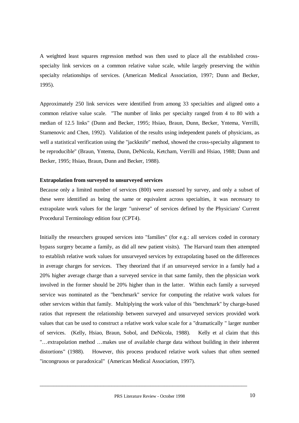A weighted least squares regression method was then used to place all the established crossspecialty link services on a common relative value scale, while largely preserving the within specialty relationships of services. (American Medical Association, 1997; Dunn and Becker, 1995).

Approximately 250 link services were identified from among 33 specialties and aligned onto a common relative value scale. "The number of links per specialty ranged from 4 to 80 with a median of 12.5 links" (Dunn and Becker, 1995; Hsiao, Braun, Dunn, Becker, Yntema, Verrilli, Stamenovic and Chen, 1992). Validation of the results using independent panels of physicians, as well a statistical verification using the "jackknife" method, showed the cross-specialty alignment to be reproducible" (Braun, Yntema, Dunn, DeNicola, Ketcham, Verrilli and Hsiao, 1988; Dunn and Becker, 1995; Hsiao, Braun, Dunn and Becker, 1988).

#### **Extrapolation from surveyed to unsurveyed services**

Because only a limited number of services (800) were assessed by survey, and only a subset of these were identified as being the same or equivalent across specialties, it was necessary to extrapolate work values for the larger "universe" of services defined by the Physicians' Current Procedural Terminology edition four (CPT4).

Initially the researchers grouped services into "families" (for e.g.: all services coded in coronary bypass surgery became a family, as did all new patient visits). The Harvard team then attempted to establish relative work values for unsurveyed services by extrapolating based on the differences in average charges for services. They theorized that if an unsurveyed service in a family had a 20% higher average charge than a surveyed service in that same family, then the physician work involved in the former should be 20% higher than in the latter. Within each family a surveyed service was nominated as the "benchmark" service for computing the relative work values for other services within that family. Multiplying the work value of this "benchmark" by charge-based ratios that represent the relationship between surveyed and unsurveyed services provided work values that can be used to construct a relative work value scale for a "dramatically " larger number of services. (Kelly, Hsiao, Braun, Sobol, and DeNicola, 1988). Kelly et al claim that this "… extrapolation method … makes use of available charge data without building in their inherent distortions" (1988). However, this process produced relative work values that often seemed "incongruous or paradoxical" (American Medical Association, 1997).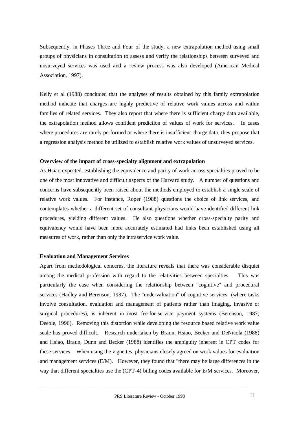Subsequently, in Phases Three and Four of the study, a new extrapolation method using small groups of physicians in consultation to assess and verify the relationships between surveyed and unsurveyed services was used and a review process was also developed (American Medical Association, 1997).

Kelly et al (1988) concluded that the analyses of results obtained by this family extrapolation method indicate that charges are highly predictive of relative work values across and within families of related services. They also report that where there is sufficient charge data available, the extrapolation method allows confident prediction of values of work for services. In cases where procedures are rarely performed or where there is insufficient charge data, they propose that a regression analysis method be utilized to establish relative work values of unsurveyed services.

#### **Overview of the impact of cross-specialty alignment and extrapolation**

As Hsiao expected, establishing the equivalence and parity of work across specialties proved to be one of the most innovative and difficult aspects of the Harvard study. A number of questions and concerns have subsequently been raised about the methods employed to establish a single scale of relative work values. For instance, Roper (1988) questions the choice of link services, and contemplates whether a different set of consultant physicians would have identified different link procedures, yielding different values. He also questions whether cross-specialty parity and equivalency would have been more accurately estimated had links been established using all measures of work, rather than only the intraservice work value.

#### **Evaluation and Management Services**

Apart from methodological concerns, the literature reveals that there was considerable disquiet among the medical profession with regard to the relativities between specialties. This was particularly the case when considering the relationship between "cognitive" and procedural services (Hadley and Berenson, 1987). The "undervaluation" of cognitive services (where tasks involve consultation, evaluation and management of patients rather than imaging, invasive or surgical procedures), is inherent in most fee-for-service payment systems (Berenson, 1987; Deeble, 1996). Removing this distortion while developing the resource based relative work value scale has proved difficult. Research undertaken by Braun, Hsiao, Becker and DeNicola (1988) and Hsiao, Braun, Dunn and Becker (1988) identifies the ambiguity inherent in CPT codes for these services. When using the vignettes, physicians closely agreed on work values for evaluation and management services (E/M). However, they found that "there may be large differences in the way that different specialties use the (CPT-4) billing codes available for E/M services. Moreover,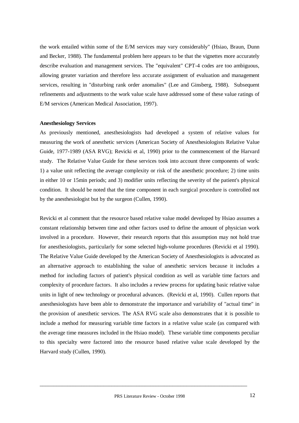the work entailed within some of the E/M services may vary considerably" (Hsiao, Braun, Dunn and Becker, 1988). The fundamental problem here appears to be that the vignettes more accurately describe evaluation and management services. The "equivalent" CPT-4 codes are too ambiguous, allowing greater variation and therefore less accurate assignment of evaluation and management services, resulting in "disturbing rank order anomalies" (Lee and Ginsberg, 1988). Subsequent refinements and adjustments to the work value scale have addressed some of these value ratings of E/M services (American Medical Association, 1997).

# **Anesthesiology Services**

As previously mentioned, anesthesiologists had developed a system of relative values for measuring the work of anesthetic services (American Society of Anesthesiologists Relative Value Guide, 1977-1989 (ASA RVG); Revicki et al, 1990) prior to the commencement of the Harvard study. The Relative Value Guide for these services took into account three components of work: 1) a value unit reflecting the average complexity or risk of the anesthetic procedure; 2) time units in either 10 or 15min periods; and 3) modifier units reflecting the severity of the patient's physical condition. It should be noted that the time component in each surgical procedure is controlled not by the anesthesiologist but by the surgeon (Cullen, 1990).

Revicki et al comment that the resource based relative value model developed by Hsiao assumes a constant relationship between time and other factors used to define the amount of physician work involved in a procedure. However, their research reports that this assumption may not hold true for anesthesiologists, particularly for some selected high-volume procedures (Revicki et al 1990). The Relative Value Guide developed by the American Society of Anesthesiologists is advocated as an alternative approach to establishing the value of anesthetic services because it includes a method for including factors of patient's physical condition as well as variable time factors and complexity of procedure factors. It also includes a review process for updating basic relative value units in light of new technology or procedural advances. (Revicki et al, 1990). Cullen reports that anesthesiologists have been able to demonstrate the importance and variability of "actual time" in the provision of anesthetic services. The ASA RVG scale also demonstrates that it is possible to include a method for measuring variable time factors in a relative value scale (as compared with the average time measures included in the Hsiao model). These variable time components peculiar to this specialty were factored into the resource based relative value scale developed by the Harvard study (Cullen, 1990).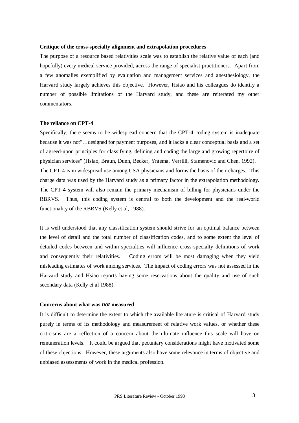# **Critique of the cross**-**specialty alignment and extrapolation procedures**

The purpose of a resource based relativities scale was to establish the relative value of each (and hopefully) every medical service provided, across the range of specialist practitioners. Apart from a few anomalies exemplified by evaluation and management services and anesthesiology, the Harvard study largely achieves this objective. However, Hsiao and his colleagues do identify a number of possible limitations of the Harvard study, and these are reiterated my other commentators.

# **The reliance on CPT-4**

Specifically, there seems to be widespread concern that the CPT-4 coding system is inadequate because it was not"… designed for payment purposes, and it lacks a clear conceptual basis and a set of agreed-upon principles for classifying, defining and coding the large and growing repertoire of physician services" (Hsiao, Braun, Dunn, Becker, Yntema, Verrilli, Stamenovic and Chen, 1992). The CPT-4 is in widespread use among USA physicians and forms the basis of their charges. This charge data was used by the Harvard study as a primary factor in the extrapolation methodology. The CPT-4 system will also remain the primary mechanism of billing for physicians under the RBRVS. Thus, this coding system is central to both the development and the real-world functionality of the RBRVS (Kelly et al, 1988).

It is well understood that any classification system should strive for an optimal balance between the level of detail and the total number of classification codes, and to some extent the level of detailed codes between and within specialties will influence cross-specialty definitions of work and consequently their relativities. Coding errors will be most damaging when they yield misleading estimates of work among services. The impact of coding errors was not assessed in the Harvard study and Hsiao reports having some reservations about the quality and use of such secondary data (Kelly et al 1988).

#### **Concerns about what was** *not* **measured**

It is difficult to determine the extent to which the available literature is critical of Harvard study purely in terms of its methodology and measurement of relative work values, or whether these criticisms are a reflection of a concern about the ultimate influence this scale will have on remuneration levels. It could be argued that pecuniary considerations might have motivated some of these objections. However, these arguments also have some relevance in terms of objective and unbiased assessments of work in the medical profession.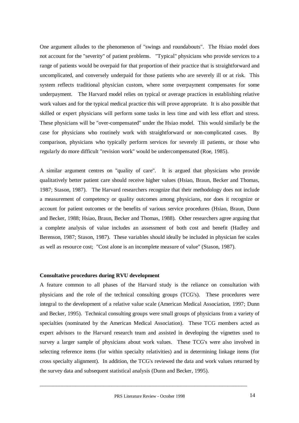One argument alludes to the phenomenon of "swings and roundabouts". The Hsiao model does not account for the "severity" of patient problems. "Typical" physicians who provide services to a range of patients would be overpaid for that proportion of their practice that is straightforward and uncomplicated, and conversely underpaid for those patients who are severely ill or at risk. This system reflects traditional physician custom, where some overpayment compensates for some underpayment. The Harvard model relies on typical or average practices in establishing relative work values and for the typical medical practice this will prove appropriate. It is also possible that skilled or expert physicians will perform some tasks in less time and with less effort and stress. These physicians will be "over-compensated" under the Hsiao model. This would similarly be the case for physicians who routinely work with straightforward or non-complicated cases. By comparison, physicians who typically perform services for severely ill patients, or those who regularly do more difficult "revision work" would be undercompensated (Roe, 1985).

A similar argument centres on "quality of care". It is argued that physicians who provide qualitatively better patient care should receive higher values (Hsiao, Braun, Becker and Thomas, 1987; Stason, 1987). The Harvard researchers recognize that their methodology does not include a measurement of competency or quality outcomes among physicians, nor does it recognize or account for patient outcomes or the benefits of various service procedures (Hsiao, Braun, Dunn and Becker, 1988; Hsiao, Braun, Becker and Thomas, 1988). Other researchers agree arguing that a complete analysis of value includes an assessment of both cost and benefit (Hadley and Berenson, 1987; Stason, 1987). These variables should ideally be included in physician fee scales as well as resource cost; "Cost alone is an incomplete measure of value" (Stason, 1987).

#### **Consultative procedures during RVU development**

A feature common to all phases of the Harvard study is the reliance on consultation with physicians and the role of the technical consulting groups (TCG's). These procedures were integral to the development of a relative value scale (American Medical Association, 1997; Dunn and Becker, 1995). Technical consulting groups were small groups of physicians from a variety of specialties (nominated by the American Medical Association). These TCG members acted as expert advisors to the Harvard research team and assisted in developing the vignettes used to survey a larger sample of physicians about work values. These TCG's were also involved in selecting reference items (for within specialty relativities) and in determining linkage items (for cross specialty alignment). In addition, the TCG's reviewed the data and work values returned by the survey data and subsequent statistical analysis (Dunn and Becker, 1995).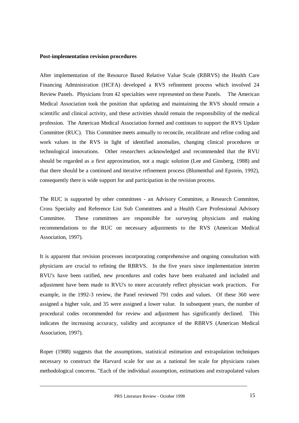#### **Post-implementation revision procedures**

After implementation of the Resource Based Relative Value Scale (RBRVS) the Health Care Financing Administration (HCFA) developed a RVS refinement process which involved 24 Review Panels. Physicians from 42 specialties were represented on these Panels. The American Medical Association took the position that updating and maintaining the RVS should remain a scientific and clinical activity, and these activities should remain the responsibility of the medical profession. The American Medical Association formed and continues to support the RVS Update Committee (RUC). This Committee meets annually to reconcile, recalibrate and refine coding and work values in the RVS in light of identified anomalies, changing clinical procedures or technological innovations. Other researchers acknowledged and recommended that the RVU should be regarded as a first approximation, not a magic solution (Lee and Ginsberg, 1988) and that there should be a continued and iterative refinement process (Blumenthal and Epstein, 1992), consequently there is wide support for and participation in the revision process.

The RUC is supported by other committees - an Advisory Committee, a Research Committee, Cross Specialty and Reference List Sub Committees and a Health Care Professional Advisory Committee. These committees are responsible for surveying physicians and making recommendations to the RUC on necessary adjustments to the RVS (American Medical Association, 1997).

It is apparent that revision processes incorporating comprehensive and ongoing consultation with physicians are crucial to refining the RBRVS. In the five years since implementation interim RVU's have been ratified, new procedures and codes have been evaluated and included and adjustment have been made to RVU's to more accurately reflect physician work practices. For example, in the 1992-3 review, the Panel reviewed 791 codes and values. Of these 360 were assigned a higher vale, and 35 were assigned a lower value. In subsequent years, the number of procedural codes recommended for review and adjustment has significantly declined. This indicates the increasing accuracy, validity and acceptance of the RBRVS (American Medical Association, 1997).

Roper (1988) suggests that the assumptions, statistical estimation and extrapolation techniques necessary to construct the Harvard scale for use as a national fee scale for physicians raises methodological concerns. "Each of the individual assumption, estimations and extrapolated values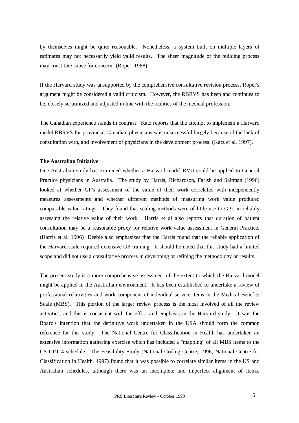by themselves might be quite reasonable. Nonetheless, a system built on multiple layers of estimates may not necessarily yield valid results. The sheer magnitude of the building process may constitute cause for concern" (Roper, 1988).

If the Harvard study was unsupported by the comprehensive consultative revision process, Roper's argument might be considered a valid criticism. However, the RBRVS has been and continues to be, closely scrutinized and adjusted in line with the realities of the medical profession.

The Canadian experience stands in contrast. Katz reports that the attempt to implement a Harvard model RBRVS for provincial Canadian physicians was unsuccessful largely because of the lack of consultation with, and involvement of physicians in the development process. (Katz et al, 1997).

# **The Australian Initiative**

One Australian study has examined whether a Harvard model RVU could be applied to General Practice physicians in Australia. The study by Harris, Richardson, Farish and Saltman (1996) looked at whether GP's assessment of the value of their work correlated with independently measures assessments and whether different methods of measuring work value produced comparable value ratings. They found that scaling methods were of little use to GP's in reliably assessing the relative value of their work. Harris et al also reports that duration of patient consultation may be a reasonable proxy for relative work value assessment in General Practice. (Harris et al, 1996) Deeble also emphasizes that the Harris found that the reliable application of the Harvard scale required extensive GP training. It should be noted that this study had a limited scope and did not use a consultative process in developing or refining the methodology or results.

The present study is a more comprehensive assessment of the extent to which the Harvard model might be applied in the Australian environment. It has been established to undertake a review of professional relativities and work component of individual service items in the Medical Benefits Scale (MBS). This portion of the larger review process is the most involved of all the review activities, and this is consistent with the effort and emphasis in the Harvard study. It was the Board's intention that the definitive work undertaken in the USA should form the common reference for this study. The National Centre for Classification in Health has undertaken an extensive information gathering exercise which has included a "mapping" of all MBS items to the US CPT-4 schedule. The Feasibility Study (National Coding Centre, 1996, National Centre for Classification in Health, 1997) found that it was possible to correlate similar items in the US and Australian schedules, although there was an incomplete and imperfect alignment of items.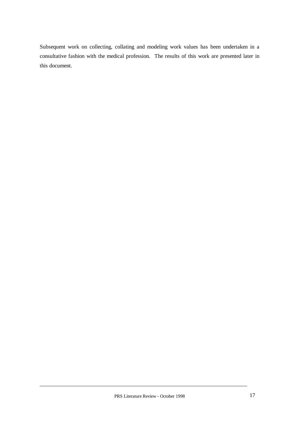Subsequent work on collecting, collating and modeling work values has been undertaken in a consultative fashion with the medical profession. The results of this work are presented later in this document.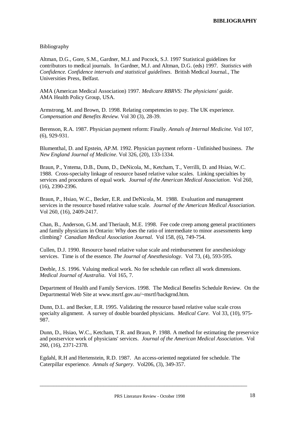# Bibliography

Altman, D.G., Gore, S.M., Gardner, M.J. and Pocock, S.J. 1997 Statistical guidelines for contributors to medical journals. In Gardner, M.J. and Altman, D.G. (eds) 1997*. Statistics with Confidence. Confidence intervals and statistical guidelines*. British Medical Journal., The Universities Press, Belfast.

AMA (American Medical Association) 1997*. Medicare RBRVS: The physicians' guide*. AMA Health Policy Group, USA.

Armstrong, M. and Brown, D. 1998. Relating competencies to pay. The UK experience. *Compensation and Benefits Review*. Vol 30 (3), 28-39.

Berenson, R.A. 1987. Physician payment reform: Finally. *Annals of Internal Medicine.* Vol 107, (6), 929-931.

Blumenthal, D. and Epstein, AP.M. 1992. Physician payment reform - Unfinished business. *The New England Journal of Medicine*. Vol 326, (20), 133-1334.

Braun, P., Yntema, D.B., Dunn, D., DeNicola, M., Ketcham, T., Verrilli, D. and Hsiao, W.C. 1988. Cross-specialty linkage of resource based relative value scales. Linking specialties by services and procedures of equal work*. Journal of the American Medical Association*. Vol 260, (16), 2390-2396.

Braun, P., Hsiao, W.C., Becker, E.R. and DeNicola, M. 1988. Evaluation and management services in the resource based relative value scale. *Journal of the American Medical Association*. Vol 260, (16), 2409-2417.

Chan, B., Anderson, G.M. and Theriault, M.E. 1998. Fee code creep among general practitioners and family physicians in Ontario: Why does the ratio of intermediate to minor assessments keep climbing? *Canadian Medical Association Journal*. Vol 158, (6), 749-754.

Cullen, D.J. 1990. Resource based relative value scale and reimbursement for anesthesiology services. Time is of the essence*. The Journal of Anesthesiology*. Vol 73, (4), 593-595.

Deeble, J.S. 1996. Valuing medical work. No fee schedule can reflect all work dimensions. *Medical Journal of Australia*. Vol 165, 7.

Department of Health and Family Services. 1998. The Medical Benefits Schedule Review. On the Departmental Web Site at www.msrtf.gov.au/~msrtf/backgrnd.htm.

Dunn, D.L. and Becker, E.R. 1995. Validating the resource based relative value scale cross specialty alignment. A survey of double boarded physicians*. Medical Care*. Vol 33, (10), 975- 987.

Dunn, D., Hsiao, W.C., Ketcham, T.R. and Braun, P. 1988. A method for estimating the preservice and postservice work of physicians' services. *Journal of the American Medical Association*. Vol 260, (16), 2371-2378.

Egdahl, R.H and Hertenstein, R.D. 1987. An access-oriented negotiated fee schedule. The Caterpillar experience. *Annals of Surgery*. Vol206, (3), 349-357.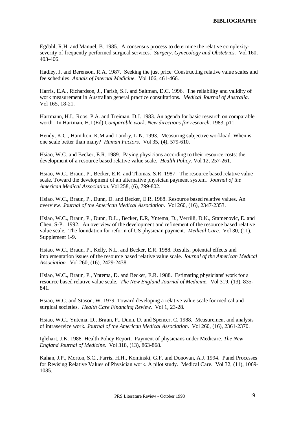Egdahl, R.H. and Manuel, B. 1985. A consensus process to determine the relative complexityseverity of frequently performed surgical services. *Surgery, Gynecology and Obstetrics*. Vol 160, 403-406.

Hadley, J. and Berenson, R.A. 1987. Seeking the just price: Constructing relative value scales and fee schedules. *Annals of Internal Medicine*. Vol 106, 461-466.

Harris, E.A., Richardson, J., Farish, S.J. and Saltman, D.C. 1996. The reliability and validity of work measurement in Australian general practice consultations*. Medical Journal of Australia.* Vol 165, 18-21.

Hartmann, H.I., Roos, P.A. and Treiman, D.J. 1983. An agenda for basic research on comparable worth. In Hartman, H.I (Ed) *Comparable work. New directions for research*. 1983, p11.

Hendy, K.C., Hamilton, K.M and Landry, L.N. 1993. Measuring subjective workload: When is one scale better than many? *Human Factors.* Vol 35, (4), 579-610.

Hsiao, W.C. and Becker, E.R. 1989. Paying physicians according to their resource costs: the development of a resource based relative value scale. *Health Policy*. Vol 12, 257-261.

Hsiao, W.C., Braun, P., Becker, E.R. and Thomas, S.R. 1987. The resource based relative value scale. Toward the development of an alternative physician payment system. *Journal of the American Medical Association.* Vol 258, (6), 799-802.

Hsiao, W.C., Braun, P., Dunn, D. and Becker, E.R. 1988. Resource based relative values. An overview. *Journal of the American Medical Association*. Vol 260, (16), 2347-2353.

Hsiao, W.C., Braun, P., Dunn, D.L., Becker, E.R, Yntema, D., Verrilli, D.K., Stamenovic, E. and Chen, S-P. 1992. An overview of the development and refinement of the resource based relative value scale. The foundation for reform of US physician payment. *Medical Care*. Vol 30, (11), Supplement 1-9.

Hsiao, W.C., Braun, P., Kelly, N.L. and Becker, E.R. 1988. Results, potential effects and implementation issues of the resource based relative value scale. *Journal of the American Medical Association.* Vol 260, (16), 2429-2438.

Hsiao, W.C., Braun, P., Yntema, D. and Becker, E.R. 1988. Estimating physicians' work for a resource based relative value scale. *The New England Journal of Medicine*. Vol 319, (13), 835- 841.

Hsiao, W.C. and Stason, W. 1979. Toward developing a relative value scale for medical and surgical societies. *Health Care Financing Review*. Vol 1, 23-28.

Hsiao, W.C., Yntema, D., Braun, P., Dunn, D. and Spencer, C. 1988. Measurement and analysis of intraservice work*. Journal of the American Medical Association*. Vol 260, (16), 2361-2370.

Iglehart, J.K. 1988. Health Policy Report. Payment of physicians under Medicare. *The New England Journal of Medicine.* Vol 318, (13), 863-868.

Kahan, J.P., Morton, S.C., Farris, H.H., Kominski, G.F. and Donovan, A.J. 1994. Panel Processes for Revising Relative Values of Physician work. A pilot study. Medical Care. Vol 32, (11), 1069- 1085.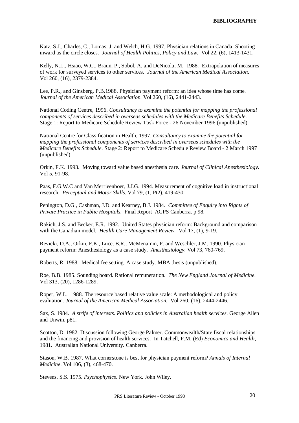Katz, S.J., Charles, C., Lomas, J. and Welch, H.G. 1997. Physician relations in Canada: Shooting inward as the circle closes. *Journal of Health Politics, Policy and Law*. Vol 22, (6), 1413-1431.

Kelly, N.L., Hsiao, W.C., Braun, P., Sobol, A. and DeNicola, M. 1988. Extrapolation of measures of work for surveyed services to other services. *Journal of the American Medical Association*. Vol 260, (16), 2379-2384.

Lee, P.R., and Ginsberg, P.B.1988. Physician payment reform: an idea whose time has come. *Journal of the American Medical Association*. Vol 260, (16), 2441-2443.

National Coding Centre, 1996. *Consultancy to examine the potential for mapping the professional components of services described in overseas schedules with the Medicare Benefits Schedule*. Stage 1: Report to Medicare Schedule Review Task Force - 26 November 1996 (unpublished).

National Centre for Classification in Health, 1997. *Consultancy to examine the potential for mapping the professional components of services described in overseas schedules with the Medicare Benefits Schedule*. Stage 2: Report to Medicare Schedule Review Board - 2 March 1997 (unpublished).

Orkin, F.K. 1993. Moving toward value based anesthesia care. *Journal of Clinical Anesthesiology*. Vol 5, 91-98.

Paas, F.G.W.C and Van Merrieenboer, J.J.G. 1994. Measurement of cognitive load in instructional research. *Perceptual and Motor Skills*. Vol 79, (1, Pt2), 419-430.

Penington, D.G., Cashman, J.D. and Kearney, B.J. 1984. *Committee of Enquiry into Rights of Private Practice in Public Hospitals*. Final Report AGPS Canberra. p 98.

Rakich, J.S. and Becker, E.R. 1992. United States physician reform: Background and comparison with the Canadian model. *Health Care Management Review*. Vol 17, (1), 9-19.

Revicki, D.A., Orkin, F.K., Luce, B.R., McMenamin, P. and Weschler, J.M. 1990. Physician payment reform: Anesthesiology as a case study. *Anesthesiology*. Vol 73, 760-769.

Roberts, R. 1988. Medical fee setting. A case study. MBA thesis (unpublished).

Roe, B.B. 1985. Sounding board. Rational remuneration. *The New England Journal of Medicine*. Vol 313, (20), 1286-1289.

Roper, W.L. 1988. The resource based relative value scale: A methodological and policy evaluation. *Journal of the American Medical Association.* Vol 260, (16), 2444-2446.

Sax, S. 1984. *A strife of interests. Politics and policies in Australian health services*. George Allen and Unwin. p81.

Scotton, D. 1982. Discussion following George Palmer. Commonwealth/State fiscal relationships and the financing and provision of health services. In Tatchell, P.M. (Ed) *Economics and Health*, 1981. Australian National University. Canberra.

Stason, W.B. 1987. What cornerstone is best for physician payment reform? *Annals of Internal Medicine*. Vol 106, (3), 468-470.

\_\_\_\_\_\_\_\_\_\_\_\_\_\_\_\_\_\_\_\_\_\_\_\_\_\_\_\_\_\_\_\_\_\_\_\_\_\_\_\_\_\_\_\_\_\_\_\_\_\_\_\_\_\_\_\_\_\_\_\_\_\_\_\_\_\_\_\_\_\_\_\_\_\_\_

Stevens, S.S. 1975. *Psychophysics*. New York. John Wiley.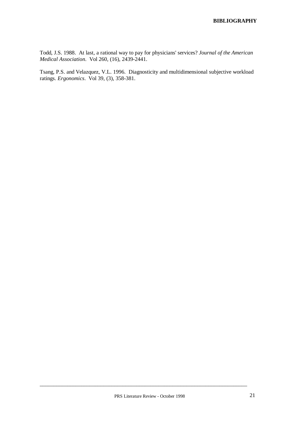Todd, J.S. 1988. At last, a rational way to pay for physicians' services? *Journal of the American Medical Association*. Vol 260, (16), 2439-2441.

Tsang, P.S. and Velazquez, V.L. 1996. Diagnosticity and multidimensional subjective workload ratings. *Ergonomics*. Vol 39, (3), 358-381.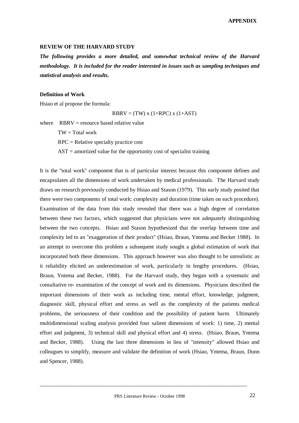#### **REVIEW OF THE HARVARD STUDY**

*The following provides a more detailed, and somewhat technical review of the Harvard methodology. It is included for the reader interested in issues such as sampling techniques and statistical analysis and results***.**

#### **Definition of Work**

Hsiao et al propose the formula:

$$
RBRV = (TW) x (1+RPC) x (1+AST)
$$

where  $RRRV =$  resource based relative value

 $TW = Total work$ 

RPC = Relative specialty practice cost

 $AST = amortized value for the opportunity cost of specialist training$ 

It is the "total work" component that is of particular interest because this component defines and encapsulates all the dimensions of work undertaken by medical professionals. The Harvard study draws on research previously conducted by Hsiao and Stason (1979). This early study posited that there were two components of total work: complexity and duration (time taken on each procedure). Examination of the data from this study revealed that there was a high degree of correlation between these two factors, which suggested that physicians were not adequately distinguishing between the two concepts. Hsiao and Stason hypothesized that the overlap between time and complexity led to an "exaggeration of their product" (Hsiao, Braun, Yntema and Becker 1988). In an attempt to overcome this problem a subsequent study sought a global estimation of work that incorporated both these dimensions. This approach however was also thought to be unrealistic as it reliability elicited an underestimation of work, particularly in lengthy procedures. (Hsiao, Braun, Yntema and Becker, 1988). For the Harvard study, they began with a systematic and consultative re- examination of the concept of work and its dimensions. Physicians described the important dimensions of their work as including time, mental effort, knowledge, judgment, diagnostic skill, physical effort and stress as well as the complexity of the patients medical problems, the seriousness of their condition and the possibility of patient harm. Ultimately multidimensional scaling analysis provided four salient dimensions of work: 1) time, 2) mental effort and judgment, 3) technical skill and physical effort and 4) stress. (Hsiao, Braun, Yntema and Becker, 1988). Using the last three dimensions in lieu of "intensity" allowed Hsiao and colleagues to simplify, measure and validate the definition of work (Hsiao, Yntema, Braun, Dunn and Spencer, 1988).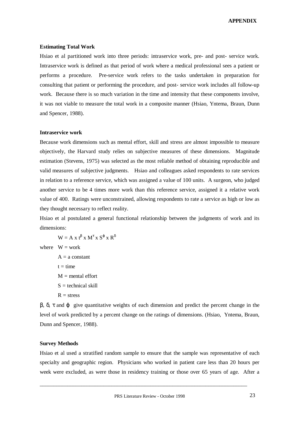#### **Estimating Total Work**

Hsiao et al partitioned work into three periods: intraservice work, pre- and post- service work. Intraservice work is defined as that period of work where a medical professional sees a patient or performs a procedure. Pre-service work refers to the tasks undertaken in preparation for consulting that patient or performing the procedure, and post- service work includes all follow-up work. Because there is so much variation in the time and intensity that these components involve, it was not viable to measure the total work in a composite manner (Hsiao, Yntema, Braun, Dunn and Spencer, 1988).

#### **Intraservice work**

Because work dimensions such as mental effort, skill and stress are almost impossible to measure objectively, the Harvard study relies on subjective measures of these dimensions. Magnitude estimation (Stevens, 1975) was selected as the most reliable method of obtaining reproducible and valid measures of subjective judgments. Hsiao and colleagues asked respondents to rate services in relation to a reference service, which was assigned a value of 100 units. A surgeon, who judged another service to be 4 times more work than this reference service, assigned it a relative work value of 400. Ratings were unconstrained, allowing respondents to rate a service as high or low as they thought necessary to reflect reality.

Hsiao et al postulated a general functional relationship between the judgments of work and its dimensions:

 $W = A x t^{\beta} x M^{\tau} x S^{\varphi} x R^{\delta}$ 

where  $W = work$ 

 $A = a constant$  $t = time$  $M =$  mental effort  $S =$  technical skill  $R =$ stress

 $β$ ,  $δ$ ,  $τ$  and  $φ$  give quantitative weights of each dimension and predict the percent change in the level of work predicted by a percent change on the ratings of dimensions. (Hsiao, Yntema, Braun, Dunn and Spencer, 1988).

## **Survey Methods**

Hsiao et al used a stratified random sample to ensure that the sample was representative of each specialty and geographic region. Physicians who worked in patient care less than 20 hours per week were excluded, as were those in residency training or those over 65 years of age. After a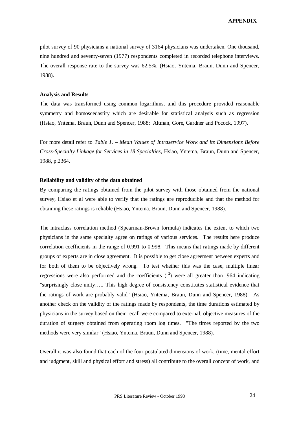pilot survey of 90 physicians a national survey of 3164 physicians was undertaken. One thousand, nine hundred and seventy-seven (1977) respondents completed in recorded telephone interviews. The overall response rate to the survey was 62.5%. (Hsiao, Yntema, Braun, Dunn and Spencer, 1988).

#### **Analysis and Results**

The data was transformed using common logarithms, and this procedure provided reasonable symmetry and homoscedastity which are desirable for statistical analysis such as regression (Hsiao, Yntema, Braun, Dunn and Spencer, 1988; Altman, Gore, Gardner and Pocock, 1997).

For more detail refer to *Table 1. – Mean Values of Intraservice Work and its Dimensions Before Cross-Specialty Linkage for Services in 18 Specialties,* Hsiao, Yntema, Braun, Dunn and Spencer, 1988, p.2364.

#### **Reliability and validity of the data obtained**

By comparing the ratings obtained from the pilot survey with those obtained from the national survey, Hsiao et al were able to verify that the ratings are reproducible and that the method for obtaining these ratings is reliable (Hsiao, Yntema, Braun, Dunn and Spencer, 1988).

The intraclass correlation method (Spearman-Brown formula) indicates the extent to which two physicians in the same specialty agree on ratings of various services. The results here produce correlation coefficients in the range of 0.991 to 0.998. This means that ratings made by different groups of experts are in close agreement. It is possible to get close agreement between experts and for both of them to be objectively wrong. To test whether this was the case, multiple linear regressions were also performed and the coefficients  $(r^2)$  were all greater than .964 indicating "surprisingly close unity… .. This high degree of consistency constitutes statistical evidence that the ratings of work are probably valid" (Hsiao, Yntema, Braun, Dunn and Spencer, 1988). As another check on the validity of the ratings made by respondents, the time durations estimated by physicians in the survey based on their recall were compared to external, objective measures of the duration of surgery obtained from operating room log times. "The times reported by the two methods were very similar" (Hsiao, Yntema, Braun, Dunn and Spencer, 1988).

Overall it was also found that each of the four postulated dimensions of work, (time, mental effort and judgment, skill and physical effort and stress) all contribute to the overall concept of work, and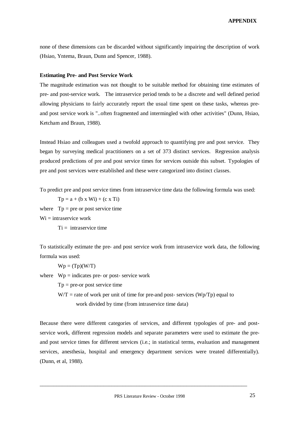none of these dimensions can be discarded without significantly impairing the description of work (Hsiao, Yntema, Braun, Dunn and Spencer, 1988).

#### **Estimating Pre- and Post Service Work**

The magnitude estimation was not thought to be suitable method for obtaining time estimates of pre- and post-service work. The intraservice period tends to be a discrete and well defined period allowing physicians to fairly accurately report the usual time spent on these tasks, whereas preand post service work is "..often fragmented and intermingled with other activities" (Dunn, Hsiao, Ketcham and Braun, 1988).

Instead Hsiao and colleagues used a twofold approach to quantifying pre and post service. They began by surveying medical practitioners on a set of 373 distinct services. Regression analysis produced predictions of pre and post service times for services outside this subset. Typologies of pre and post services were established and these were categorized into distinct classes.

To predict pre and post service times from intraservice time data the following formula was used:

 $Tp = a + (b \times Wi) + (c \times Ti)$ 

where  $T_p$  = pre or post service time

 $Wi =$  intraservice work

 $Ti =$  intraservice time

To statistically estimate the pre- and post service work from intraservice work data, the following formula was used:

 $Wp = (Tp)(W/T)$ 

where  $Wp =$  indicates pre- or post- service work

 $Tp = pre-or post service time$ 

 $W/T$  = rate of work per unit of time for pre-and post- services ( $Wp/Tp$ ) equal to work divided by time (from intraservice time data)

Because there were different categories of services, and different typologies of pre- and postservice work, different regression models and separate parameters were used to estimate the preand post service times for different services (i.e.; in statistical terms, evaluation and management services, anesthesia, hospital and emergency department services were treated differentially). (Dunn, et al, 1988).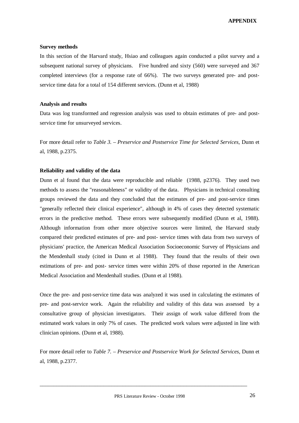#### **Survey methods**

In this section of the Harvard study, Hsiao and colleagues again conducted a pilot survey and a subsequent national survey of physicians. Five hundred and sixty (560) were surveyed and 367 completed interviews (for a response rate of 66%). The two surveys generated pre- and postservice time data for a total of 154 different services. (Dunn et al, 1988)

#### **Analysis and results**

Data was log transformed and regression analysis was used to obtain estimates of pre- and postservice time for unsurveyed services.

For more detail refer to *Table 3. – Preservice and Postservice Time for Selected Services,* Dunn et al, 1988, p.2375.

#### **Reliability and validity of the data**

Dunn et al found that the data were reproducible and reliable (1988, p2376). They used two methods to assess the "reasonableness" or validity of the data. Physicians in technical consulting groups reviewed the data and they concluded that the estimates of pre- and post-service times "generally reflected their clinical experience", although in 4% of cases they detected systematic errors in the predictive method. These errors were subsequently modified (Dunn et al, 1988). Although information from other more objective sources were limited, the Harvard study compared their predicted estimates of pre- and post- service times with data from two surveys of physicians' practice, the American Medical Association Socioeconomic Survey of Physicians and the Mendenhall study (cited in Dunn et al 1988). They found that the results of their own estimations of pre- and post- service times were within 20% of those reported in the American Medical Association and Mendenhall studies. (Dunn et al 1988).

Once the pre- and post-service time data was analyzed it was used in calculating the estimates of pre- and post-service work. Again the reliability and validity of this data was assessed by a consultative group of physician investigators. Their assign of work value differed from the estimated work values in only 7% of cases. The predicted work values were adjusted in line with clinician opinions. (Dunn et al, 1988).

For more detail refer to *Table 7. – Preservice and Postservice Work for Selected Services,* Dunn et al, 1988, p.2377.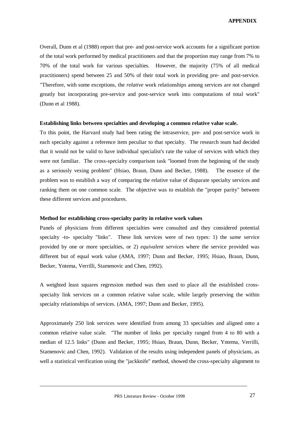Overall, Dunn et al (1988) report that pre- and post-service work accounts for a significant portion of the total work performed by medical practitioners and that the proportion may range from 7% to 70% of the total work for various specialties. However, the majority (75% of all medical practitioners) spend between 25 and 50% of their total work in providing pre- and post-service. "Therefore, with some exceptions, the *relative* work relationships among services are not changed greatly but incorporating pre-service and post-service work into computations of total work" (Dunn et al 1988).

#### **Establishing links between specialties and developing a common relative value scale.**

To this point, the Harvard study had been rating the intraservice, pre- and post-service work in each specialty against a reference item peculiar to that specialty. The research team had decided that it would not be valid to have individual specialist's rate the value of services with which they were not familiar. The cross-specialty comparison task "loomed from the beginning of the study as a seriously vexing problem" (Hsiao, Braun, Dunn and Becker, 1988). The essence of the problem was to establish a way of comparing the relative value of disparate specialty services and ranking them on one common scale. The objective was to establish the "proper parity" between these different services and procedures.

#### **Method for establishing cross-specialty parity in relative work values**

Panels of physicians from different specialties were consulted and they considered potential specialty -to- specialty "links". These link services were of two types: 1) the *same* service provided by one or more specialties, or 2) *equivalent services* where the service provided was different but of equal work value (AMA, 1997; Dunn and Becker, 1995; Hsiao, Braun, Dunn, Becker, Yntema, Verrilli, Stamenovic and Chen, 1992).

A weighted least squares regression method was then used to place all the established crossspecialty link services on a common relative value scale, while largely preserving the within specialty relationships of services. (AMA, 1997; Dunn and Becker, 1995).

Approximately 250 link services were identified from among 33 specialties and aligned onto a common relative value scale. "The number of links per specialty ranged from 4 to 80 with a median of 12.5 links" (Dunn and Becker, 1995; Hsiao, Braun, Dunn, Becker, Yntema, Verrilli, Stamenovic and Chen, 1992). Validation of the results using independent panels of physicians, as well a statistical verification using the "jackknife" method, showed the cross-specialty alignment to